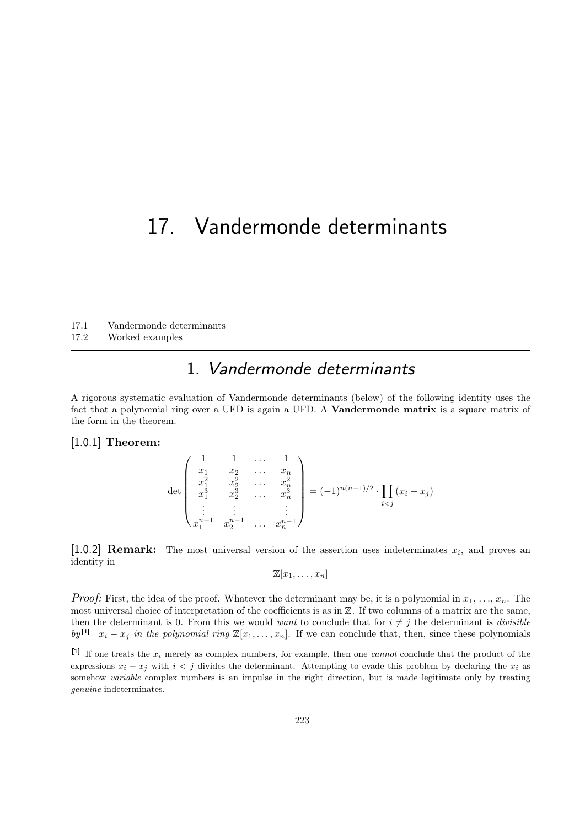# 17. Vandermonde determinants

17.1 Vandermonde determinants

17.2 Worked examples

### 1. Vandermonde determinants

A rigorous systematic evaluation of Vandermonde determinants (below) of the following identity uses the fact that a polynomial ring over a UFD is again a UFD. A **Vandermonde matrix** is a square matrix of the form in the theorem.

#### [1.0.1] Theorem:

$$
\det \begin{pmatrix} 1 & 1 & \dots & 1 \\ x_1 & x_2 & \dots & x_n \\ x_1^2 & x_2^2 & \dots & x_n^2 \\ x_1^3 & x_2^3 & \dots & x_n^3 \\ \vdots & \vdots & & \vdots \\ x_1^{n-1} & x_2^{n-1} & \dots & x_n^{n-1} \end{pmatrix} = (-1)^{n(n-1)/2} \cdot \prod_{i < j} (x_i - x_j)
$$

[1.0.2] **Remark:** The most universal version of the assertion uses indeterminates  $x_i$ , and proves an identity in

$$
\mathbb{Z}[x_1,\ldots,x_n]
$$

*Proof:* First, the idea of the proof. Whatever the determinant may be, it is a polynomial in  $x_1, \ldots, x_n$ . The most universal choice of interpretation of the coefficients is as in Z. If two columns of a matrix are the same, then the determinant is 0. From this we would want to conclude that for  $i \neq j$  the determinant is divisible by  $[y]$   $x_i - x_j$  in the polynomial ring  $\mathbb{Z}[x_1, \ldots, x_n]$ . If we can conclude that, then, since these polynomials

<sup>[1]</sup> If one treats the  $x_i$  merely as complex numbers, for example, then one *cannot* conclude that the product of the expressions  $x_i - x_j$  with  $i < j$  divides the determinant. Attempting to evade this problem by declaring the  $x_i$  as somehow *variable* complex numbers is an impulse in the right direction, but is made legitimate only by treating genuine indeterminates.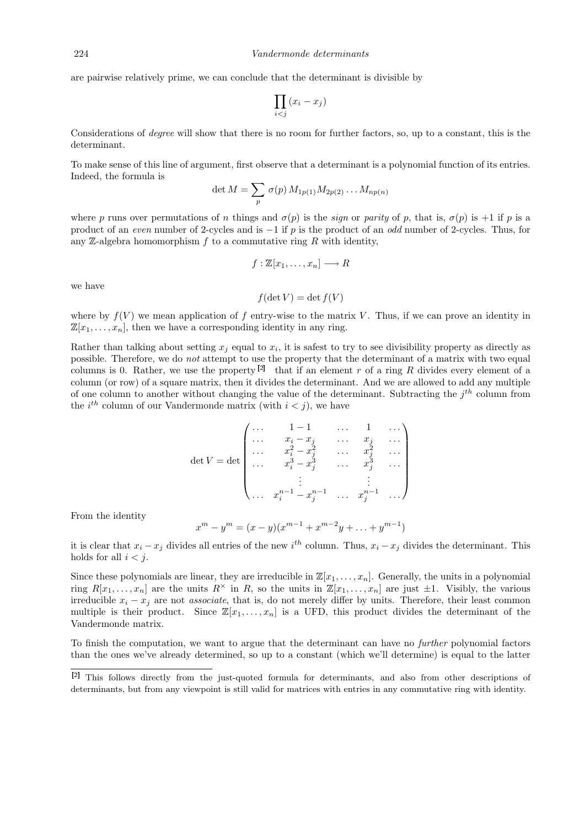are pairwise relatively prime, we can conclude that the determinant is divisible by

$$
\prod_{i
$$

Considerations of degree will show that there is no room for further factors, so, up to a constant, this is the determinant.

To make sense of this line of argument, first observe that a determinant is a polynomial function of its entries. Indeed, the formula is

$$
\det M = \sum_{p} \sigma(p) M_{1p(1)} M_{2p(2)} \dots M_{np(n)}
$$

where p runs over permutations of n things and  $\sigma(p)$  is the sign or parity of p, that is,  $\sigma(p)$  is +1 if p is a product of an even number of 2-cycles and is −1 if p is the product of an odd number of 2-cycles. Thus, for any  $\mathbb Z$ -algebra homomorphism  $f$  to a commutative ring  $R$  with identity,

$$
f: \mathbb{Z}[x_1,\ldots,x_n] \longrightarrow R
$$

we have

$$
f(\det V) = \det f(V)
$$

where by  $f(V)$  we mean application of f entry-wise to the matrix V. Thus, if we can prove an identity in  $\mathbb{Z}[x_1,\ldots,x_n]$ , then we have a corresponding identity in any ring.

Rather than talking about setting  $x_j$  equal to  $x_i$ , it is safest to try to see divisibility property as directly as possible. Therefore, we do not attempt to use the property that the determinant of a matrix with two equal columns is 0. Rather, we use the property  $[2]$  that if an element r of a ring R divides every element of a column (or row) of a square matrix, then it divides the determinant. And we are allowed to add any multiple of one column to another without changing the value of the determinant. Subtracting the  $j<sup>th</sup>$  column from the  $i^{th}$  column of our Vandermonde matrix (with  $i < j$ ), we have

$$
\det V = \det \begin{pmatrix} \cdots & 1-1 & \cdots & 1 & \cdots \\ \cdots & x_i - x_j & \cdots & x_j & \cdots \\ \cdots & x_i^2 - x_j^2 & \cdots & x_j^2 & \cdots \\ \cdots & x_i^3 - x_j^3 & \cdots & x_j^3 & \cdots \\ \vdots & \vdots & \vdots & \vdots \\ \cdots & x_i^{n-1} - x_j^{n-1} & \cdots & x_j^{n-1} & \cdots \end{pmatrix}
$$

From the identity

 $\boldsymbol{r}$ 

$$
m - y^m = (x - y)(x^{m-1} + x^{m-2}y + \dots + y^{m-1})
$$

it is clear that  $x_i - x_j$  divides all entries of the new i<sup>th</sup> column. Thus,  $x_i - x_j$  divides the determinant. This holds for all  $i < i$ .

Since these polynomials are linear, they are irreducible in  $\mathbb{Z}[x_1, \ldots, x_n]$ . Generally, the units in a polynomial ring  $R[x_1, \ldots, x_n]$  are the units  $R^\times$  in R, so the units in  $\mathbb{Z}[x_1, \ldots, x_n]$  are just  $\pm 1$ . Visibly, the various irreducible  $x_i - x_j$  are not associate, that is, do not merely differ by units. Therefore, their least common multiple is their product. Since  $\mathbb{Z}[x_1, \ldots, x_n]$  is a UFD, this product divides the determinant of the Vandermonde matrix.

To finish the computation, we want to argue that the determinant can have no further polynomial factors than the ones we've already determined, so up to a constant (which we'll determine) is equal to the latter

<sup>[2]</sup> This follows directly from the just-quoted formula for determinants, and also from other descriptions of determinants, but from any viewpoint is still valid for matrices with entries in any commutative ring with identity.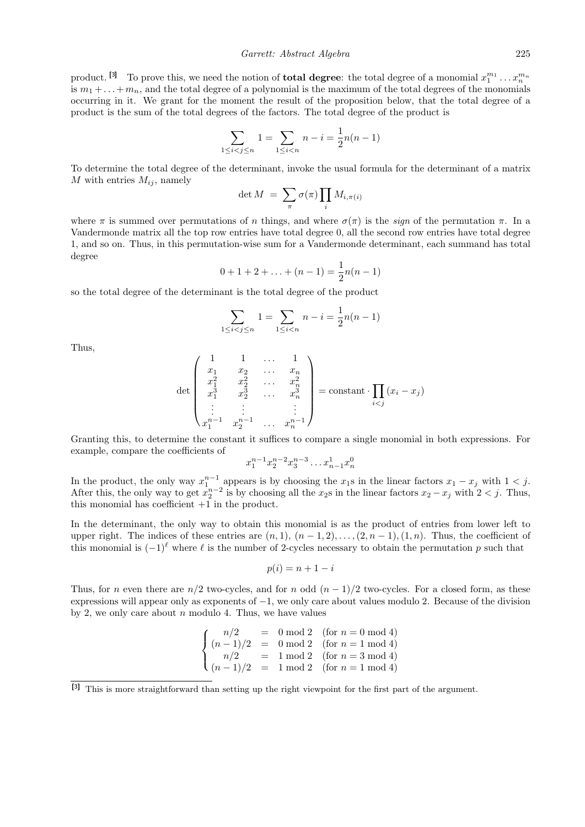product. <sup>[3]</sup> To prove this, we need the notion of **total degree**: the total degree of a monomial  $x_1^{m_1} \dots x_n^{m_n}$ is  $m_1 + \ldots + m_n$ , and the total degree of a polynomial is the maximum of the total degrees of the monomials occurring in it. We grant for the moment the result of the proposition below, that the total degree of a product is the sum of the total degrees of the factors. The total degree of the product is

$$
\sum_{1 \le i < j \le n} 1 = \sum_{1 \le i < n} n - i = \frac{1}{2}n(n-1)
$$

To determine the total degree of the determinant, invoke the usual formula for the determinant of a matrix M with entries  $M_{ij}$ , namely

$$
\det M = \sum_{\pi} \sigma(\pi) \prod_i M_{i, \pi(i)}
$$

where  $\pi$  is summed over permutations of n things, and where  $\sigma(\pi)$  is the sign of the permutation  $\pi$ . In a Vandermonde matrix all the top row entries have total degree 0, all the second row entries have total degree 1, and so on. Thus, in this permutation-wise sum for a Vandermonde determinant, each summand has total degree

$$
0 + 1 + 2 + \ldots + (n - 1) = \frac{1}{2}n(n - 1)
$$

so the total degree of the determinant is the total degree of the product

$$
\sum_{1 \le i < j \le n} 1 = \sum_{1 \le i < n} n - i = \frac{1}{2}n(n-1)
$$

Thus,

$$
\det\begin{pmatrix} 1 & 1 & \dots & 1 \\ x_1 & x_2 & \dots & x_n \\ x_1^2 & x_2^2 & \dots & x_n^2 \\ x_1^3 & x_2^3 & \dots & x_n^3 \\ \vdots & \vdots & & \vdots \\ x_1^{n-1} & x_2^{n-1} & \dots & x_n^{n-1} \end{pmatrix} = \text{constant} \cdot \prod_{i < j} (x_i - x_j)
$$

Granting this, to determine the constant it suffices to compare a single monomial in both expressions. For example, compare the coefficients of

$$
x_1^{n-1}x_2^{n-2}x_3^{n-3}\ldots x_{n-1}^1x_n^0
$$

In the product, the only way  $x_1^{n-1}$  appears is by choosing the  $x_1$ s in the linear factors  $x_1 - x_j$  with  $1 < j$ . After this, the only way to get  $x_2^{n-2}$  is by choosing all the  $x_2$ s in the linear factors  $x_2 - x_j$  with  $2 < j$ . Thus, this monomial has coefficient +1 in the product.

In the determinant, the only way to obtain this monomial is as the product of entries from lower left to upper right. The indices of these entries are  $(n, 1)$ ,  $(n - 1, 2)$ , ...,  $(2, n - 1)$ ,  $(1, n)$ . Thus, the coefficient of this monomial is  $(-1)^\ell$  where  $\ell$  is the number of 2-cycles necessary to obtain the permutation p such that

$$
p(i) = n + 1 - i
$$

Thus, for n even there are  $n/2$  two-cycles, and for n odd  $(n-1)/2$  two-cycles. For a closed form, as these expressions will appear only as exponents of −1, we only care about values modulo 2. Because of the division by 2, we only care about  $n$  modulo 4. Thus, we have values

$$
\begin{cases}\nn/2 = 0 \mod 2 \quad \text{(for } n = 0 \mod 4) \\
(n-1)/2 = 0 \mod 2 \quad \text{(for } n = 1 \mod 4) \\
n/2 = 1 \mod 2 \quad \text{(for } n = 3 \mod 4) \\
(n-1)/2 = 1 \mod 2 \quad \text{(for } n = 1 \mod 4)\n\end{cases}
$$

<sup>[3]</sup> This is more straightforward than setting up the right viewpoint for the first part of the argument.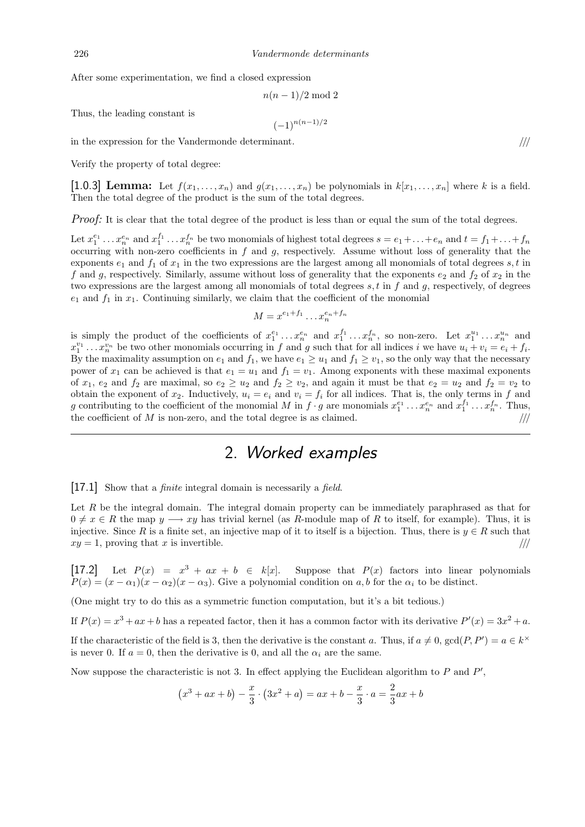After some experimentation, we find a closed expression

$$
n(n-1)/2 \bmod 2
$$

 $(-1)^{n(n-1)/2}$ 

Thus, the leading constant is

in the expression for the Vandermonde determinant.  $\frac{1}{1}$ 

Verify the property of total degree:

[1.0.3] Lemma: Let  $f(x_1, \ldots, x_n)$  and  $g(x_1, \ldots, x_n)$  be polynomials in  $k[x_1, \ldots, x_n]$  where k is a field. Then the total degree of the product is the sum of the total degrees.

Proof: It is clear that the total degree of the product is less than or equal the sum of the total degrees.

Let  $x_1^{e_1} \ldots x_n^{e_n}$  and  $x_1^{f_1} \ldots x_n^{f_n}$  be two monomials of highest total degrees  $s = e_1 + \ldots + e_n$  and  $t = f_1 + \ldots + f_n$ occurring with non-zero coefficients in  $f$  and  $g$ , respectively. Assume without loss of generality that the exponents  $e_1$  and  $f_1$  of  $x_1$  in the two expressions are the largest among all monomials of total degrees  $s, t$  in f and g, respectively. Similarly, assume without loss of generality that the exponents  $e_2$  and  $f_2$  of  $x_2$  in the two expressions are the largest among all monomials of total degrees  $s, t$  in f and  $q$ , respectively, of degrees  $e_1$  and  $f_1$  in  $x_1$ . Continuing similarly, we claim that the coefficient of the monomial

$$
M = x^{e_1+f_1} \dots x_n^{e_n+f_n}
$$

is simply the product of the coefficients of  $x_1^{e_1} \ldots x_n^{e_n}$  and  $x_1^{f_1} \ldots x_n^{f_n}$ , so non-zero. Let  $x_1^{u_1} \ldots x_n^{u_n}$  and  $x_1^{v_1} \ldots x_n^{v_n}$  be two other monomials occurring in f and g such that for all indices i we have  $u_i + v_i = e_i + f_i$ . By the maximality assumption on  $e_1$  and  $f_1$ , we have  $e_1 \ge u_1$  and  $f_1 \ge v_1$ , so the only way that the necessary power of  $x_1$  can be achieved is that  $e_1 = u_1$  and  $f_1 = v_1$ . Among exponents with these maximal exponents of  $x_1$ ,  $e_2$  and  $f_2$  are maximal, so  $e_2 \ge u_2$  and  $f_2 \ge v_2$ , and again it must be that  $e_2 = u_2$  and  $f_2 = v_2$  to obtain the exponent of  $x_2$ . Inductively,  $u_i = e_i$  and  $v_i = f_i$  for all indices. That is, the only terms in f and g contributing to the coefficient of the monomial M in  $f \cdot g$  are monomials  $x_1^{e_1} \ldots x_n^{e_n}$  and  $x_1^{f_1} \ldots x_n^{f_n}$ . Thus, the coefficient of  $M$  is non-zero, and the total degree is as claimed.  $/$ //

## 2. Worked examples

[17.1] Show that a *finite* integral domain is necessarily a *field*.

Let  $R$  be the integral domain. The integral domain property can be immediately paraphrased as that for  $0 \neq x \in R$  the map  $y \longrightarrow xy$  has trivial kernel (as R-module map of R to itself, for example). Thus, it is injective. Since R is a finite set, an injective map of it to itself is a bijection. Thus, there is  $y \in R$  such that  $xy = 1$ , proving that x is invertible.  $/$ ///

[17.2] Let  $P(x) = x^3 + ax + b \in k[x]$ . Suppose that  $P(x)$  factors into linear polynomials  $P(x) = (x - \alpha_1)(x - \alpha_2)(x - \alpha_3)$ . Give a polynomial condition on a, b for the  $\alpha_i$  to be distinct.

(One might try to do this as a symmetric function computation, but it's a bit tedious.)

If  $P(x) = x^3 + ax + b$  has a repeated factor, then it has a common factor with its derivative  $P'(x) = 3x^2 + a$ .

If the characteristic of the field is 3, then the derivative is the constant a. Thus, if  $a \neq 0$ ,  $gcd(P, P') = a \in k^{\times}$ is never 0. If  $a = 0$ , then the derivative is 0, and all the  $\alpha_i$  are the same.

Now suppose the characteristic is not 3. In effect applying the Euclidean algorithm to  $P$  and  $P'$ ,

$$
(x^{3} + ax + b) - \frac{x}{3} \cdot (3x^{2} + a) = ax + b - \frac{x}{3} \cdot a = \frac{2}{3}ax + b
$$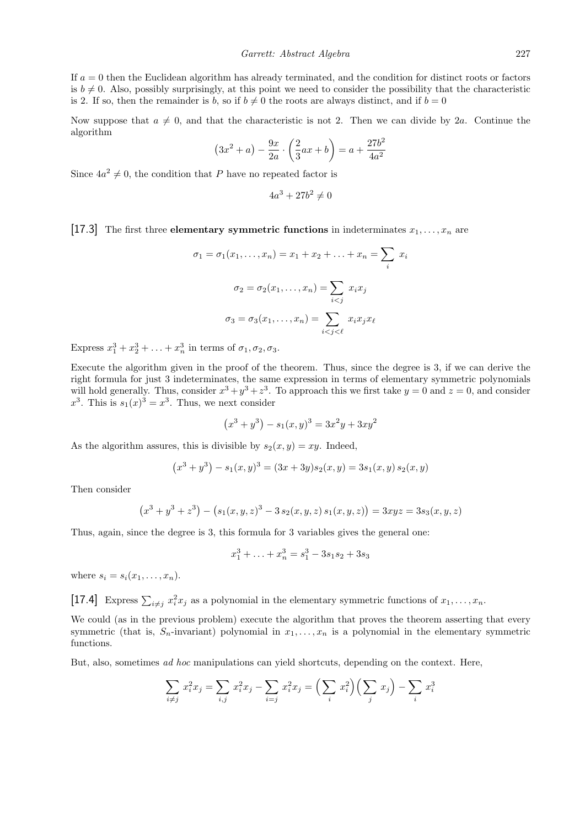If  $a = 0$  then the Euclidean algorithm has already terminated, and the condition for distinct roots or factors is  $b \neq 0$ . Also, possibly surprisingly, at this point we need to consider the possibility that the characteristic is 2. If so, then the remainder is b, so if  $b \neq 0$  the roots are always distinct, and if  $b = 0$ 

Now suppose that  $a \neq 0$ , and that the characteristic is not 2. Then we can divide by 2a. Continue the algorithm

$$
(3x^{2} + a) - \frac{9x}{2a} \cdot \left(\frac{2}{3}ax + b\right) = a + \frac{27b^{2}}{4a^{2}}
$$

Since  $4a^2 \neq 0$ , the condition that P have no repeated factor is

$$
4a^3 + 27b^2 \neq 0
$$

[17.3] The first three elementary symmetric functions in indeterminates  $x_1, \ldots, x_n$  are

$$
\sigma_1 = \sigma_1(x_1, \dots, x_n) = x_1 + x_2 + \dots + x_n = \sum_i x_i
$$

$$
\sigma_2 = \sigma_2(x_1, \dots, x_n) = \sum_{i < j} x_i x_j
$$

$$
\sigma_3 = \sigma_3(x_1, \dots, x_n) = \sum_{i < j < \ell} x_i x_j x_\ell
$$

Express  $x_1^3 + x_2^3 + \ldots + x_n^3$  in terms of  $\sigma_1, \sigma_2, \sigma_3$ .

Execute the algorithm given in the proof of the theorem. Thus, since the degree is 3, if we can derive the right formula for just 3 indeterminates, the same expression in terms of elementary symmetric polynomials will hold generally. Thus, consider  $x^3 + y^3 + z^3$ . To approach this we first take  $y = 0$  and  $z = 0$ , and consider  $x^3$ . This is  $s_1(x)^3 = x^3$ . Thus, we next consider

$$
(x3 + y3) - s1(x, y)3 = 3x2y + 3xy2
$$

As the algorithm assures, this is divisible by  $s_2(x, y) = xy$ . Indeed,

$$
(x3 + y3) - s1(x, y)3 = (3x + 3y)s2(x, y) = 3s1(x, y) s2(x, y)
$$

Then consider

$$
(x3 + y3 + z3) - (s1(x, y, z)3 - 3s2(x, y, z) s1(x, y, z)) = 3xyz = 3s3(x, y, z)
$$

Thus, again, since the degree is 3, this formula for 3 variables gives the general one:

$$
x_1^3 + \ldots + x_n^3 = s_1^3 - 3s_1s_2 + 3s_3
$$

where  $s_i = s_i(x_1, \ldots, x_n)$ .

[17.4] Express  $\sum_{i \neq j} x_i^2 x_j$  as a polynomial in the elementary symmetric functions of  $x_1, \ldots, x_n$ .

We could (as in the previous problem) execute the algorithm that proves the theorem asserting that every symmetric (that is,  $S_n$ -invariant) polynomial in  $x_1, \ldots, x_n$  is a polynomial in the elementary symmetric functions.

But, also, sometimes ad hoc manipulations can yield shortcuts, depending on the context. Here,

$$
\sum_{i \neq j} x_i^2 x_j = \sum_{i,j} x_i^2 x_j - \sum_{i=j} x_i^2 x_j = \left(\sum_i x_i^2\right) \left(\sum_j x_j\right) - \sum_i x_i^3
$$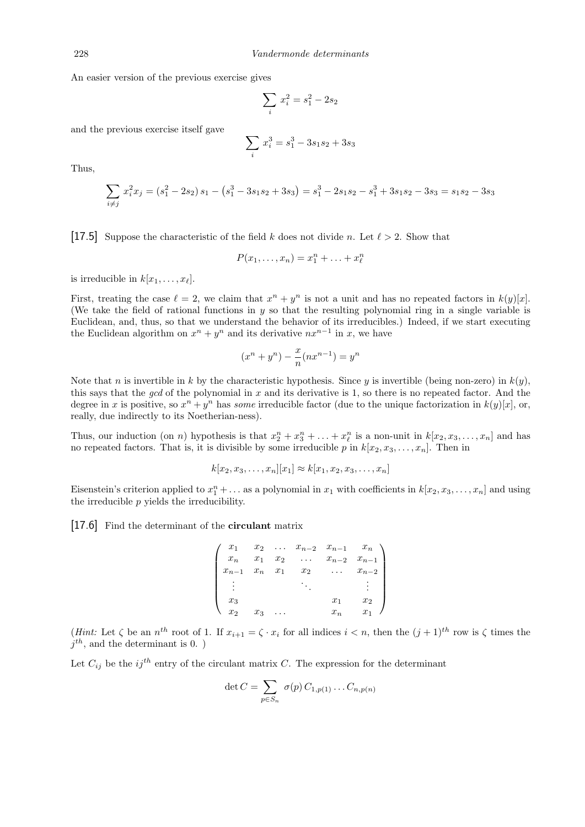An easier version of the previous exercise gives

$$
\sum_{i} x_i^2 = s_1^2 - 2s_2
$$

and the previous exercise itself gave

$$
\sum_{i} x_i^3 = s_1^3 - 3s_1s_2 + 3s_3
$$

Thus,

$$
\sum_{i \neq j} x_i^2 x_j = (s_1^2 - 2s_2) s_1 - (s_1^3 - 3s_1 s_2 + 3s_3) = s_1^3 - 2s_1 s_2 - s_1^3 + 3s_1 s_2 - 3s_3 = s_1 s_2 - 3s_3
$$

[17.5] Suppose the characteristic of the field k does not divide n. Let  $\ell > 2$ . Show that

$$
P(x_1,\ldots,x_n)=x_1^n+\ldots+x_\ell^n
$$

is irreducible in  $k[x_1, \ldots, x_\ell]$ .

First, treating the case  $\ell = 2$ , we claim that  $x^n + y^n$  is not a unit and has no repeated factors in  $k(y)[x]$ . (We take the field of rational functions in y so that the resulting polynomial ring in a single variable is Euclidean, and, thus, so that we understand the behavior of its irreducibles.) Indeed, if we start executing the Euclidean algorithm on  $x^n + y^n$  and its derivative  $nx^{n-1}$  in x, we have

$$
(x^n + y^n) - \frac{x}{n}(nx^{n-1}) = y^n
$$

Note that n is invertible in k by the characteristic hypothesis. Since y is invertible (being non-zero) in  $k(y)$ , this says that the gcd of the polynomial in  $x$  and its derivative is 1, so there is no repeated factor. And the degree in x is positive, so  $x^n + y^n$  has some irreducible factor (due to the unique factorization in  $k(y)[x]$ , or, really, due indirectly to its Noetherian-ness).

Thus, our induction (on n) hypothesis is that  $x_2^n + x_3^n + \ldots + x_\ell^n$  is a non-unit in  $k[x_2, x_3, \ldots, x_n]$  and has no repeated factors. That is, it is divisible by some irreducible p in  $k[x_2, x_3, \ldots, x_n]$ . Then in

$$
k[x_2, x_3, \dots, x_n][x_1] \approx k[x_1, x_2, x_3, \dots, x_n]
$$

Eisenstein's criterion applied to  $x_1^n + \ldots$  as a polynomial in  $x_1$  with coefficients in  $k[x_2, x_3, \ldots, x_n]$  and using the irreducible p yields the irreducibility.

#### [17.6] Find the determinant of the **circulant** matrix

|           |       |  |       | $x_{n-1}$                                                                                                                                                                                      |
|-----------|-------|--|-------|------------------------------------------------------------------------------------------------------------------------------------------------------------------------------------------------|
| $x_{n-1}$ |       |  |       | $\left(\begin{array}{ccccccccc} x_1 & x_2 & \ldots & x_{n-2} & x_{n-1} & x_n \ x_n & x_1 & x_2 & \ldots & x_{n-2} & x_{n-1} \ x_{n-1} & x_n & x_1 & x_2 & \ldots & x_{n-2} \end{array}\right)$ |
|           |       |  |       |                                                                                                                                                                                                |
| $x_3$     |       |  |       | $x_2$                                                                                                                                                                                          |
| $x_2$     | $x_3$ |  | $x_n$ | $x_1$                                                                                                                                                                                          |

(*Hint*: Let  $\zeta$  be an  $n^{th}$  root of 1. If  $x_{i+1} = \zeta \cdot x_i$  for all indices  $i < n$ , then the  $(j + 1)^{th}$  row is  $\zeta$  times the  $j^{th}$ , and the determinant is 0. )

Let  $C_{ij}$  be the ij<sup>th</sup> entry of the circulant matrix C. The expression for the determinant

$$
\det C = \sum_{p \in S_n} \sigma(p) C_{1,p(1)} \dots C_{n,p(n)}
$$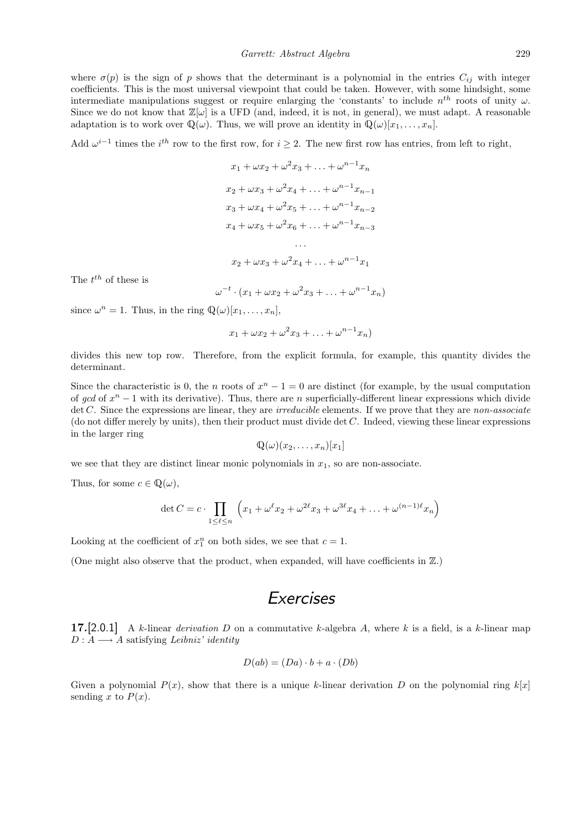where  $\sigma(p)$  is the sign of p shows that the determinant is a polynomial in the entries  $C_{ij}$  with integer coefficients. This is the most universal viewpoint that could be taken. However, with some hindsight, some intermediate manipulations suggest or require enlarging the 'constants' to include  $n^{th}$  roots of unity  $\omega$ . Since we do not know that  $\mathbb{Z}[\omega]$  is a UFD (and, indeed, it is not, in general), we must adapt. A reasonable adaptation is to work over  $\mathbb{Q}(\omega)$ . Thus, we will prove an identity in  $\mathbb{Q}(\omega)[x_1, \ldots, x_n]$ .

Add  $\omega^{i-1}$  times the i<sup>th</sup> row to the first row, for  $i \geq 2$ . The new first row has entries, from left to right,

$$
x_1 + \omega x_2 + \omega^2 x_3 + \dots + \omega^{n-1} x_n
$$
  
\n
$$
x_2 + \omega x_3 + \omega^2 x_4 + \dots + \omega^{n-1} x_{n-1}
$$
  
\n
$$
x_3 + \omega x_4 + \omega^2 x_5 + \dots + \omega^{n-1} x_{n-2}
$$
  
\n
$$
x_4 + \omega x_5 + \omega^2 x_6 + \dots + \omega^{n-1} x_{n-3}
$$
  
\n...  
\n
$$
x_2 + \omega x_3 + \omega^2 x_4 + \dots + \omega^{n-1} x_1
$$

The  $t^{th}$  of these is

$$
\omega^{-t} \cdot (x_1 + \omega x_2 + \omega^2 x_3 + \ldots + \omega^{n-1} x_n)
$$

since  $\omega^n = 1$ . Thus, in the ring  $\mathbb{Q}(\omega)[x_1, \ldots, x_n]$ ,

$$
x_1 + \omega x_2 + \omega^2 x_3 + \ldots + \omega^{n-1} x_n)
$$

divides this new top row. Therefore, from the explicit formula, for example, this quantity divides the determinant.

Since the characteristic is 0, the n roots of  $x^n - 1 = 0$  are distinct (for example, by the usual computation of gcd of  $x<sup>n</sup> - 1$  with its derivative). Thus, there are n superficially-different linear expressions which divide det C. Since the expressions are linear, they are *irreducible* elements. If we prove that they are *non-associate* (do not differ merely by units), then their product must divide det  $C$ . Indeed, viewing these linear expressions in the larger ring

$$
\mathbb{Q}(\omega)(x_2,\ldots,x_n)[x_1]
$$

we see that they are distinct linear monic polynomials in  $x_1$ , so are non-associate.

Thus, for some  $c \in \mathbb{Q}(\omega)$ ,

$$
\det C = c \cdot \prod_{1 \le \ell \le n} \left( x_1 + \omega^{\ell} x_2 + \omega^{2\ell} x_3 + \omega^{3\ell} x_4 + \dots + \omega^{(n-1)\ell} x_n \right)
$$

Looking at the coefficient of  $x_1^n$  on both sides, we see that  $c = 1$ .

(One might also observe that the product, when expanded, will have coefficients in  $\mathbb{Z}$ .)

### Exercises

17.[2.0.1] A k-linear derivation D on a commutative k-algebra A, where k is a field, is a k-linear map  $D: A \longrightarrow A$  satisfying Leibniz' identity

$$
D(ab) = (Da) \cdot b + a \cdot (Db)
$$

Given a polynomial  $P(x)$ , show that there is a unique k-linear derivation D on the polynomial ring  $k[x]$ sending x to  $P(x)$ .